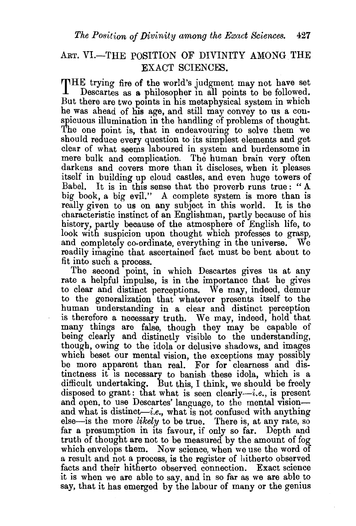## ART. VI.-THE POSITION OF DIVINITY AMONG THE EXACT SCIENCES.

THE trying fire of the world's judgment may not have set Descartes as a philosopher in all points to be followed. But there are two points in his metaphysical system in which he was ahead of his age, and still may convey to us a conspicuous illumination in the handling of problems of thought. The one point is, that in endeavouring to solve them we should reduce every question to its simplest elements and get clear of what seems 1aboured in system and burdensome in mere bulk and complication. The human brain very often darkens and covers more than it discloses, when it pleases itself in building up cloud castles, and even huge towers of Babel. It is in this sense that the proverb runs true : " A big book, a big evil." A complete system is more than is really given to us on any subject in this world. It is the characteristic instinct of an Englishman, partly because of his history, partly because of the atmosphere of English life, to look with suspicion upon thought which professes to grasp, and completely co-ordinate, everything in the universe. We readily imagine that ascertained fact must be bent about to fit into such a process.

The second point, in which Descartes gives us at any rate a helpful impulse, is in the importance that he gives to clear and distinct perceptions. We may, indeed, demur to the generalization that whatever presents itself to the human understanding in a clear and distinct perception is therefore a necessary truth. We may, indeed, hold that many things are false, though they may be capable of being clearly and distinctly visible to the understanding, though, owing to the idola or delusive shadows, and images which beset our mental vision, the exceptions may possibly be more apparent than real. For for clearness and distinctness it is necessary to banish these idola, which is a difficult undertaking. But this, I think, we should be freely disposed to grant: that what is seen clearly—*i.e.*, is present and open, to use Descartes' language, to the mental vision and what is distinct-i.e., what is not confused with anything else-is the more *likely* to be true. There is, at any rate, so far a presumption in its favour, if only so far. Depth and truth of thought are not to be measured by the amount of fog which envelops them. Now science, when we use the word of a result and not a process, is the register of hitherto observed facts and their hitherto observed connection. Exact science it is when we are able to say, and in so far as we are able to say, that it has emerged by the labour of many or the genius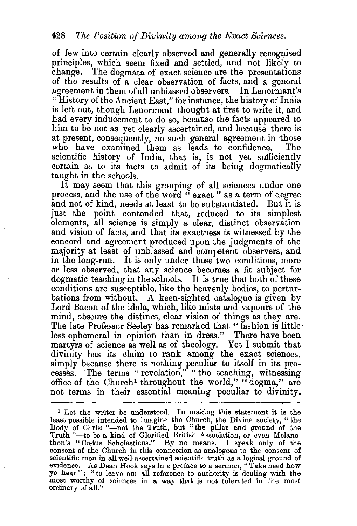of few into certain clearly observed and generally recognised principles, which seem fixed and settled, and not likely to change. The dogmata of exact science are the presentations of the results of a clear observation of facts, and a general agreement in them of all unbiassed observers. In Lenormant's "History of the Ancient East," for instance, the history of India is left out, though Lenormant thought at first to write it, and had every inducement' to do so, because the facts appeared to him to be not as yet clearly ascertained, and because there is at present, consequently, no such general agreement in those who have examined them as leads to confidence. The scientific history of India, that is, is not yet sufficiently certain as to its facts to admit of its being dogmatically taught in the schools.

It may seem that this grouping of all sciences under one process, and the use of the word " exact " as a term of degree and not of kind, needs at least to be substantiated. But it is just the point contended that, reduced to its simplest elements, all science is simply a clear, distinct observation and vision of facts, and that its exactness is witnessed by the concord and agreement produced upon the judgments of the majority at least of unbiassed and competent observers, and in the long-run. It is only under these two conditions, more or less observed, that any science becomes a fit subject for dogmatic teaching in the schools. It is true that both of these conditions are susceptible, like the heavenly bodies, to perturbations from without. A keen-sighted catalogue is given by Lord Bacon of the idola, which, like mists and vapours of the mind, obscure the distinct, clear vision of things as they are. The late Professor Seeley has remarked that "fashion is little less ephemeral in opinion than in dress." There have been martyrs of science as well as of theology. Yet I submit that divinity has its claim to rank among the exact sciences, simply because there is nothing peculiar to itself in its processes. The terms "revelation," "the teaching, witnessing office of the Church<sup>1</sup> throughout the world," "dogma," are not terms in their essential meaning peculiar to divinity.

<sup>&</sup>lt;sup>1</sup> Let the writer be understood. In making this statement it is the least possible intended to imagine the Church, the Divine society, "the Body of Christ "-not the Truth, but "the pillar and ground of the Truth "-to be a kind of Glorified British Association, or even Melancthon's "Cretus Scholasticus." By no means. I speak only of the consent of the Church in this connection as analogous to the consent of scientific men in all well-ascertained scientific truth as a logical ground of evidence. As Dean Hook says in a preface to a sermon, "Take heed how ye hear"; "to leave out all reference to authority is dealing with the most worthy of sciences in a way that is not tolerated in the most ordinary of all."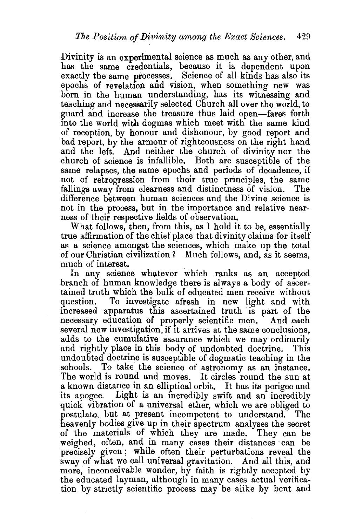Divinity is an experimental science as much as any other, and has the same credentials, because it is dependent upon exactly the same processes. Science of all kinds has also its epochs of revelation and vision, when something new was born in the human understanding, has its witnessing and teaching and necessarily selected Church all over the world, to guard and increase the treasure thus laid open-fares forth into the world with dogmas which meet with the same kind of reception, by honour and dishonour, by good report and bad report, by the armour of righteousness on the right hand and the left. And neither the church of divinity nor the church of science is infallible. Both are susceptible of the same relapses, the same epochs and periods of decadence, if not of retrogression from their true principles, the same fallings away from clearness and distinctness of vision. The difference between human sciences and the Divine science is not in the process, but in the importance and relative nearness of their respective fields of observation.

What follows, then, from this, as I hold it to be, essentially true affirmation of the chief place that divinity claims for itself as a science amongst the sciences, which make up the total of our Christian civilization? Much follows, and, as it seems, much of interest.

In any science whatever which ranks as an accepted branch of human knowledge there is always a body of ascertained truth which the bulk of educated men receive without question. To investigate afresh in new light and with increased apparatus this ascertained truth ·is part of the necessary education of properly scientific men. And each several new investigation, if it arrives at the same conclusions, adds to the cumulative assurance which we may ordinarily and rightly place in this body of undoubted doctrine. This undoubted doctrine is susceptible of dogmatic teaching in the schools. To take the science of astronomy as an instance. The world is round and moves. It circles round the sun at a known distance in an elliptical orbit. It has its perigee and its apogee. Light is an incredibly swift and an incredibly quick vibration of a universal ether, which we are obliged to postulate, but at present incompetent to understand. The heavenly bodies give up in their spectrum analyses the secret of the materials of which they are made. They can be weighed, often, and in many cases their distances can be precisely given; while often their perturbations reveal the sway of what we call universal gravitation. And all this, and more, inconceivable wonder, by faith is rightly accepted by the educated layman, although in many cases actual verification by strictly scientific process may be alike by bent and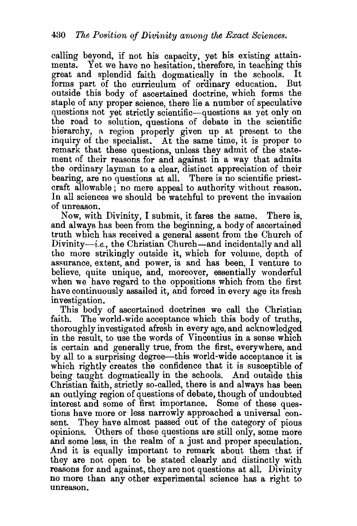calling beyond, if not his capacity, yet his existing attainments. Yet we have no hesitation, therefore, in teaching this great and splendid faith dogmatically in the schools. It forms part of the curriculum of ordinary education. But outside this body of ascertained doctrine, which forms the staple of any proper science, there lie a number of speculative questions not yet strictly scientific-questions as yet only on the road to solution, questions of debate in the scientific hierarchy, a region properly given up at present to the inquiry of the specialist. At the same time, it is proper to remark that these questions, unless they admit of the statement of their reasons for and against in a way that admits the ordinary layman to a clear, distinct appreciation of their bearing, are no questions at all. There is no scientific priestcraft allowable ; no mere appeal to authority without reason. In all sciences we should be watchful to prevent the invasion of unreason.

Now, with Divinity, I submit, it fares the same. There is, and always has been from the beginning, a body of ascertained truth which has received a general assent from the Church of  $Divinity-i.e.,$  the Christian Church—and incidentally and all the more strikingly outside it, which for volume, depth of assurance, extent, and power, is and has been, I venture to believe, quite unique, and, moreover, essentially wonderful when we have regard to the oppositions which from the first have continuously assailed it, and forced in every age its fresh investigation.

This body of ascertained doctrines we call the Christian faith. The world-wide acceptance which this body of truths, thoroughly investigated afresh in every age, and acknowledged in the result, to use the words of Vincentius in a sense which is certain and generally true, from the first, everywhere, and by all to a surprising degree-this world-wide acceptance it is which rightly creates the confidence that it is susceptible of being taught dogmatically in the schools. And outside this Christian faith, strictly so-called, there is and always has been an outlying region of questions of debate, though of undoubted interest and some of first importance. Some of these questions have more or less narrowly approached a universal consent. They have almost passed out of the category of pious opinions. Others of these questions are still only, some more and some less, in the realm of a just and proper speculation. And it is equally important to remark about them that if they are not open to be stated clearly and distinctly with reasons for and against, they are not questions at all. Divinity no more than any other experimental science has a right to unreason.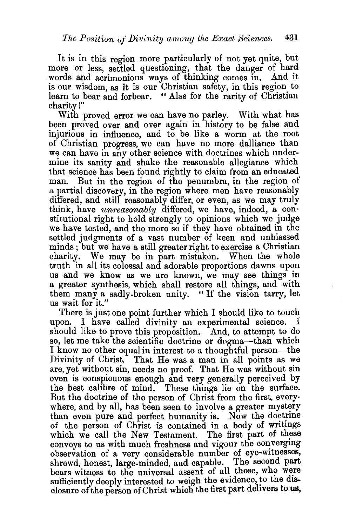It is in this region more particularly of not yet quite, but more or less, settled questioning, that the danger of hard words and acrimonious ways of thinking comes in. And it is our wisdom, as it is our Christian safety, in this region to learn to bear and forbear. " Alas for the rarity of Christian charity!"

With proved error we can have no parley. With what has been proved over and over again in history to be false and injurious in influence, and to be like a worm at the root of Christian progress, we can have no more dalliance than we can have in any other science with doctrines which undermine its sanity and shake the reasonable allegiance which that science has been found rightly to claim from an educated man. But in the region of the penumbra, in the region of a partial discovery, in the region where men have reasonably differed, and still reasonably differ, or even, as we may truly think, have *unreasonably* differed, we have, indeed, a constitutional right to hold strongly to opinions which we judge we have tested, and the more so if they have obtained in the settled judgments of a vast number of keen and unbiassed minds ; but we have a still greater right to exercise a Christian charity. We may be in part mistaken. When the whole truth in all its colossal and adorable proportions dawns upon us and we know as we are known, we may see things in a greater synthesis, which shall restore all things, and with them many a sadly-broken unity. "If the vision tarry, let us wait for it."

There is just one point further which I should like to touch upon. I have called divinity an experimental science. I should like to prove this proposition. And, to attempt to do so, let me take the scientific doctrine or dogma---than which I know no other equal in interest to a thoughtful person-the Divinity of Christ. That He was a man in all points as we are, yet without sin, needs no proof. That He was without sin even is conspicuous enough and very generally perceived by the best calibre of mind. These things lie on the surface. But the doctrine of the person of Christ from the first, everywhere, and by all, has been seen to involve a greater mystery than even pure and perfect humanity is. Now the doctrine of the person of Christ is contained in a body of writmgs which we call the New Testament. The first part of these conveys to us with much freshness and vigour the converging observation of a very considerable number of eye-witnesses, shrewd, honest, large-minded, and capable. The second part bears witness to the universal assent of all those, who were sufficiently deeply interested to weigh the evidence, to the disclosure of the person of Christ which the first part dehvers to us,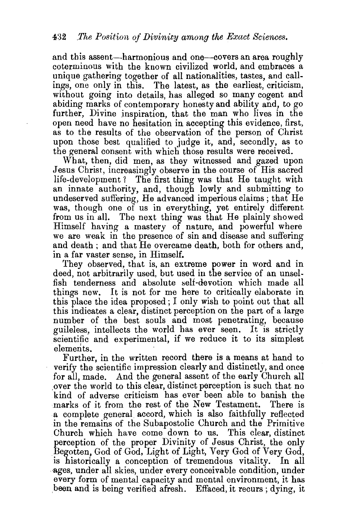and this assent—harmonious and one—covers an area roughly coterminous with the known civilized world, and embraces a unique gathering together of all nationalities, tastes, and callings, one only in this. The latest, as the earliest, criticism, without going into details, has alleged so many cogent and abiding marks of contemporary honesty and ability and, to go further, Divine inspiration, that the man who lives in the open need have no hesitation in accepting this evidence, first, as to the results of the observation of the person of Christ upon those best qualified to judge it, and, secondly, as to the general consent with which those results were received.

What, then, did men, as they witnessed and gazed upon Jesus Christ, increasingly observe in the course of His sacred life-development ? The first thing was that He taught with an innate authority, and, though lowly and submitting to undeserved suffering, He advanced imperious claims; that He was, though one of us in everything, yet entirely different from us in all. The next thing was that He plainly showed Himself having a mastery of nature, and powerful where we are weak in the presence of sin and disease and suffering and death ; and that He overcame death, both for others and, in a far vaster sense, in Himself.

They observed, that is, an extreme power in word and in deed, not arbitrarily used, but used in the service of an unselfish tenderness and absolute belf-devotion which made all things new. It is not for me here to critically elaborate in this place the idea proposed ; I only wish to point out that all this indicates a clear, distinct perception on the part of a large number of the best souls and most penetrating, because guileless, intellects the world has ever seen. It is strictly scientific and experimental, if we reduce it to its simplest

elements.<br>Further, in the written record there is a means at hand to verify the scientific impression clearly and distinctly, and once for all, made. And the general assent of the early Church all ,over the world to this clear, distinct perception is such that no kind of adverse criticism has ever been able to banish the marks of it from the rest of the New Testament. There is a complete general accord, which is also faithfully reflected in the remains of the Subapostolic Church and the Primitive Church which have come down to us. This clear, distinct perception of the proper Divinity of Jesus Christ, the only Begotten, God of God, Light of Light, Very God of Very God, is historically a conception of tremendous vitality. In all ·ages, under all skies, under every conceivable condition, under every form of mental capacity and mental environment, it has been and is being verified afresh. Effaced, it recurs; dying, it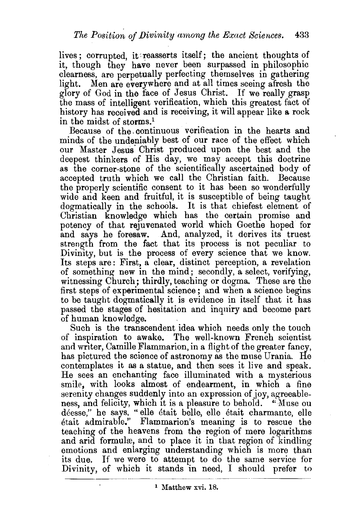lives; corrupted, it: reasserts itself; the ancient thoughts of it, though they have never been surpassed in philosophic clearness, are perpetually perfecting themselves in gathering light. Men are everywhere and at all times seeing afresh the glory of God in the face of Jesus Christ. If we really grasp the mass of intelligent verification, which this greatest fact of history has received and is receiving, it will appear like a rock in the midst of storms.<sup>1</sup>

Because of the. continuous verification in the hearts and minds of the undeniably best of our race of the effect which our Master Jesus' Christ produced upon the best and the deepest thinkers of His day, we may accept this doctrine as the corner-stone of the scientifically ascertained body of accepted truth which we call the Christian faith. Because the properly scientific consent to it has been so wonderfully wide and keen and fruitful, it is susceptible of being taught dogmatically in the schools. It is that chiefest element of Christian knowledge which has the certain promise and potency of that rejuvenated world which Goethe hoped for and says he foresaw. And, analyzed, it derives its truest strength from the fact that its process is not peculiar to Divinity, but is the process of every science that we know. Its steps are: First, a clear, distinct perception, a revelation of something new in the mind; secondly, a select, verifying, witnessing Church; thirdly, teaching or dogma. These are the first steps of experimental science; and when a science begins to be taught dogmatically it is evidence in itself that it has passed the stages of hesitation and inquiry and become part of human knowledge.

Such is the transcendent idea which needs only the touch of inspiration to awake. The well-known French scientist and writer, Camille Flammarion, in a flight of the greater fancy, has pictured the science of astronomy as the muse Urania. He contemplates it as a statue, and then sees it live and speak. He sees an enchanting face illuminated with a mysterious smile, with looks almost of endearment, in which a fine serenity changes suddenly into an expression of joy, agreeableness, and felicity, which it is a pleasure to behold. "Muse ou déesse," he says, "elle était belle, elle était charmante, elle etait admirable.'' Flammarion's meaning is to rescue the teaching of the heavens from the region of mere logarithms and arid formulæ, and to place it in that region of kindling emotions and enlarging understanding which is more than its due. If we were to attempt to do the same service for Divinity, of which it stands in need, I should prefer to